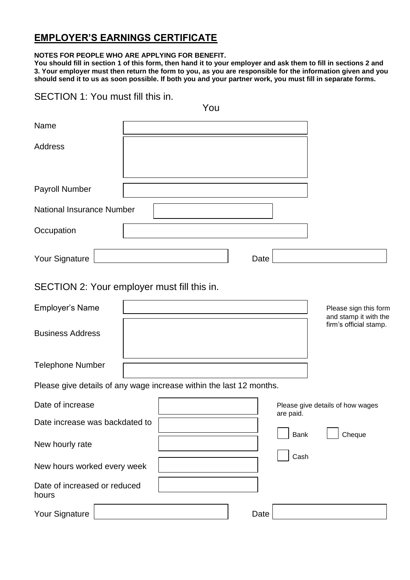# **EMPLOYER'S EARNINGS CERTIFICATE**

### **NOTES FOR PEOPLE WHO ARE APPLYING FOR BENEFIT.**

**You should fill in section 1 of this form, then hand it to your employer and ask them to fill in sections 2 and 3. Your employer must then return the form to you, as you are responsible for the information given and you should send it to us as soon possible. If both you and your partner work, you must fill in separate forms.**

### SECTION 1: You must fill this in.

|                                       | You                                                                 |
|---------------------------------------|---------------------------------------------------------------------|
| Name                                  |                                                                     |
| <b>Address</b>                        |                                                                     |
| Payroll Number                        |                                                                     |
| <b>National Insurance Number</b>      |                                                                     |
| Occupation                            |                                                                     |
| Your Signature                        | Date                                                                |
|                                       | SECTION 2: Your employer must fill this in.                         |
| <b>Employer's Name</b>                | Please sign this form<br>and stamp it with the                      |
| <b>Business Address</b>               | firm's official stamp.                                              |
| <b>Telephone Number</b>               |                                                                     |
|                                       | Please give details of any wage increase within the last 12 months. |
| Date of increase                      | Please give details of how wages<br>are paid.                       |
| Date increase was backdated to        |                                                                     |
| New hourly rate                       | Bank<br>Cheque<br>Cash                                              |
| New hours worked every week           |                                                                     |
| Date of increased or reduced<br>hours |                                                                     |
| Your Signature                        | Date                                                                |